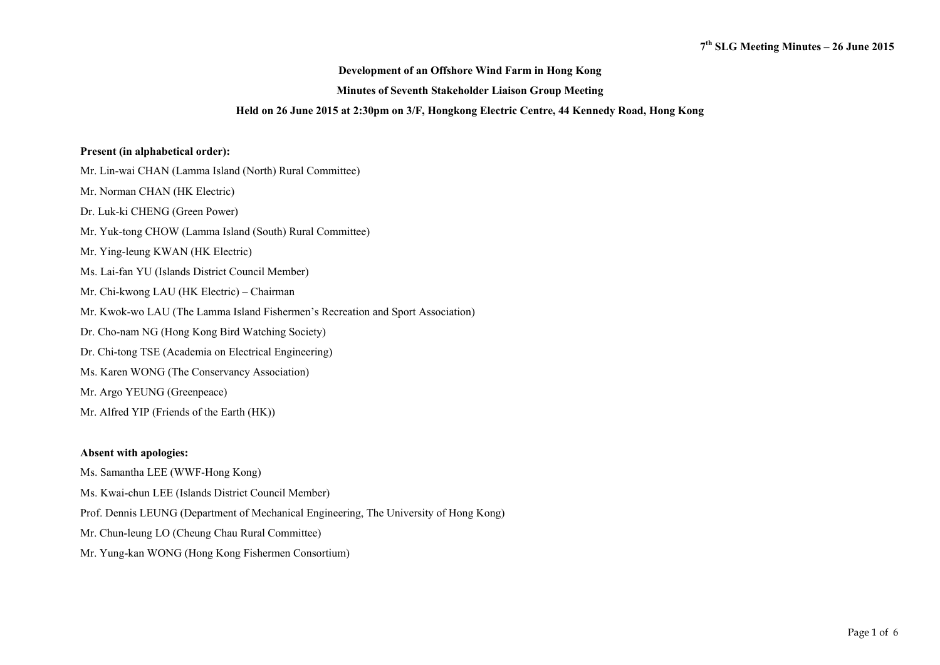## **Development of an Offshore Wind Farm in Hong Kong**

### **Minutes of Seventh Stakeholder Liaison Group Meeting**

#### **Held on 26 June 2015 at 2:30pm on 3/F, Hongkong Electric Centre, 44 Kennedy Road, Hong Kong**

## **Present (in alphabetical order):**

Mr. Lin-wai CHAN (Lamma Island (North) Rural Committee)

- Mr. Norman CHAN (HK Electric)
- Dr. Luk-ki CHENG (Green Power)
- Mr. Yuk-tong CHOW (Lamma Island (South) Rural Committee)
- Mr. Ying-leung KWAN (HK Electric)
- Ms. Lai-fan YU (Islands District Council Member)
- Mr. Chi-kwong LAU (HK Electric) Chairman
- Mr. Kwok-wo LAU (The Lamma Island Fishermen's Recreation and Sport Association)
- Dr. Cho-nam NG (Hong Kong Bird Watching Society)
- Dr. Chi-tong TSE (Academia on Electrical Engineering)
- Ms. Karen WONG (The Conservancy Association)
- Mr. Argo YEUNG (Greenpeace)
- Mr. Alfred YIP (Friends of the Earth (HK))

### **Absent with apologies:**

- Ms. Samantha LEE (WWF-Hong Kong)
- Ms. Kwai-chun LEE (Islands District Council Member)
- Prof. Dennis LEUNG (Department of Mechanical Engineering, The University of Hong Kong)
- Mr. Chun-leung LO (Cheung Chau Rural Committee)
- Mr. Yung-kan WONG (Hong Kong Fishermen Consortium)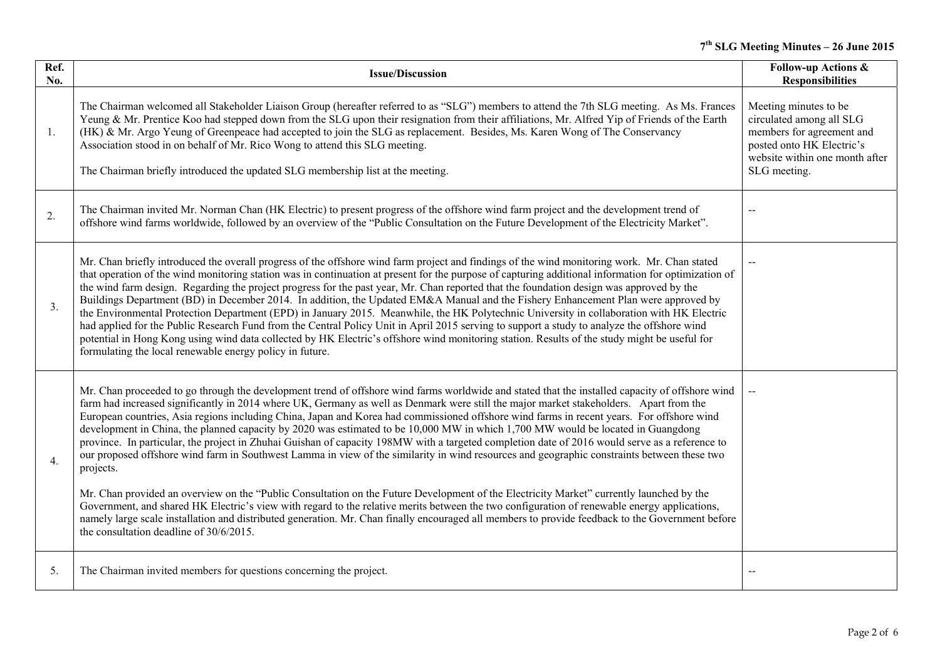# **<sup>7</sup>th SLG Meeting Minutes – 26 June 2015**

| Ref.<br>No. | <b>Issue/Discussion</b>                                                                                                                                                                                                                                                                                                                                                                                                                                                                                                                                                                                                                                                                                                                                                                                                                                                                                                                                                                                                                                                                                                                                                                                                                                                                                                                                                             | <b>Follow-up Actions &amp;</b><br><b>Responsibilities</b>                                                                                                     |
|-------------|-------------------------------------------------------------------------------------------------------------------------------------------------------------------------------------------------------------------------------------------------------------------------------------------------------------------------------------------------------------------------------------------------------------------------------------------------------------------------------------------------------------------------------------------------------------------------------------------------------------------------------------------------------------------------------------------------------------------------------------------------------------------------------------------------------------------------------------------------------------------------------------------------------------------------------------------------------------------------------------------------------------------------------------------------------------------------------------------------------------------------------------------------------------------------------------------------------------------------------------------------------------------------------------------------------------------------------------------------------------------------------------|---------------------------------------------------------------------------------------------------------------------------------------------------------------|
| 1.          | The Chairman welcomed all Stakeholder Liaison Group (hereafter referred to as "SLG") members to attend the 7th SLG meeting. As Ms. Frances<br>Yeung & Mr. Prentice Koo had stepped down from the SLG upon their resignation from their affiliations, Mr. Alfred Yip of Friends of the Earth<br>(HK) & Mr. Argo Yeung of Greenpeace had accepted to join the SLG as replacement. Besides, Ms. Karen Wong of The Conservancy<br>Association stood in on behalf of Mr. Rico Wong to attend this SLG meeting.<br>The Chairman briefly introduced the updated SLG membership list at the meeting.                                                                                                                                                                                                                                                                                                                                                                                                                                                                                                                                                                                                                                                                                                                                                                                        | Meeting minutes to be<br>circulated among all SLG<br>members for agreement and<br>posted onto HK Electric's<br>website within one month after<br>SLG meeting. |
| 2.          | The Chairman invited Mr. Norman Chan (HK Electric) to present progress of the offshore wind farm project and the development trend of<br>offshore wind farms worldwide, followed by an overview of the "Public Consultation on the Future Development of the Electricity Market".                                                                                                                                                                                                                                                                                                                                                                                                                                                                                                                                                                                                                                                                                                                                                                                                                                                                                                                                                                                                                                                                                                   | $\sim$                                                                                                                                                        |
| 3.          | Mr. Chan briefly introduced the overall progress of the offshore wind farm project and findings of the wind monitoring work. Mr. Chan stated<br>that operation of the wind monitoring station was in continuation at present for the purpose of capturing additional information for optimization of<br>the wind farm design. Regarding the project progress for the past year, Mr. Chan reported that the foundation design was approved by the<br>Buildings Department (BD) in December 2014. In addition, the Updated EM&A Manual and the Fishery Enhancement Plan were approved by<br>the Environmental Protection Department (EPD) in January 2015. Meanwhile, the HK Polytechnic University in collaboration with HK Electric<br>had applied for the Public Research Fund from the Central Policy Unit in April 2015 serving to support a study to analyze the offshore wind<br>potential in Hong Kong using wind data collected by HK Electric's offshore wind monitoring station. Results of the study might be useful for<br>formulating the local renewable energy policy in future.                                                                                                                                                                                                                                                                                      | $\mathbf{L}$                                                                                                                                                  |
| 4.          | Mr. Chan proceeded to go through the development trend of offshore wind farms worldwide and stated that the installed capacity of offshore wind<br>farm had increased significantly in 2014 where UK, Germany as well as Denmark were still the major market stakeholders. Apart from the<br>European countries, Asia regions including China, Japan and Korea had commissioned offshore wind farms in recent years. For offshore wind<br>development in China, the planned capacity by 2020 was estimated to be 10,000 MW in which 1,700 MW would be located in Guangdong<br>province. In particular, the project in Zhuhai Guishan of capacity 198MW with a targeted completion date of 2016 would serve as a reference to<br>our proposed offshore wind farm in Southwest Lamma in view of the similarity in wind resources and geographic constraints between these two<br>projects.<br>Mr. Chan provided an overview on the "Public Consultation on the Future Development of the Electricity Market" currently launched by the<br>Government, and shared HK Electric's view with regard to the relative merits between the two configuration of renewable energy applications,<br>namely large scale installation and distributed generation. Mr. Chan finally encouraged all members to provide feedback to the Government before<br>the consultation deadline of 30/6/2015. | $\overline{a}$                                                                                                                                                |
| 5.          | The Chairman invited members for questions concerning the project.                                                                                                                                                                                                                                                                                                                                                                                                                                                                                                                                                                                                                                                                                                                                                                                                                                                                                                                                                                                                                                                                                                                                                                                                                                                                                                                  |                                                                                                                                                               |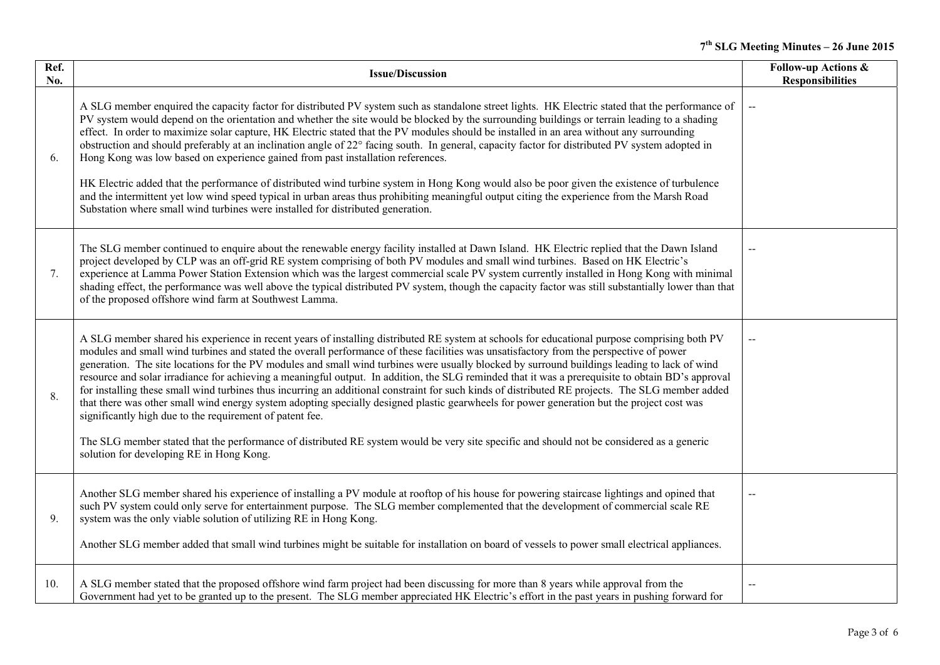# **<sup>7</sup>th SLG Meeting Minutes – 26 June 2015**

| Ref.<br>No. | <b>Issue/Discussion</b>                                                                                                                                                                                                                                                                                                                                                                                                                                                                                                                                                                                                                                                                                                                                                                                                                                                                                                                                                                                                                                                                                                                             | <b>Follow-up Actions &amp;</b><br><b>Responsibilities</b> |
|-------------|-----------------------------------------------------------------------------------------------------------------------------------------------------------------------------------------------------------------------------------------------------------------------------------------------------------------------------------------------------------------------------------------------------------------------------------------------------------------------------------------------------------------------------------------------------------------------------------------------------------------------------------------------------------------------------------------------------------------------------------------------------------------------------------------------------------------------------------------------------------------------------------------------------------------------------------------------------------------------------------------------------------------------------------------------------------------------------------------------------------------------------------------------------|-----------------------------------------------------------|
| 6.          | A SLG member enquired the capacity factor for distributed PV system such as standalone street lights. HK Electric stated that the performance of<br>PV system would depend on the orientation and whether the site would be blocked by the surrounding buildings or terrain leading to a shading<br>effect. In order to maximize solar capture, HK Electric stated that the PV modules should be installed in an area without any surrounding<br>obstruction and should preferably at an inclination angle of 22° facing south. In general, capacity factor for distributed PV system adopted in<br>Hong Kong was low based on experience gained from past installation references.<br>HK Electric added that the performance of distributed wind turbine system in Hong Kong would also be poor given the existence of turbulence<br>and the intermittent yet low wind speed typical in urban areas thus prohibiting meaningful output citing the experience from the Marsh Road<br>Substation where small wind turbines were installed for distributed generation.                                                                                | $\mathord{\hspace{1pt}\text{--}\hspace{1pt}}$             |
| 7.          | The SLG member continued to enquire about the renewable energy facility installed at Dawn Island. HK Electric replied that the Dawn Island<br>project developed by CLP was an off-grid RE system comprising of both PV modules and small wind turbines. Based on HK Electric's<br>experience at Lamma Power Station Extension which was the largest commercial scale PV system currently installed in Hong Kong with minimal<br>shading effect, the performance was well above the typical distributed PV system, though the capacity factor was still substantially lower than that<br>of the proposed offshore wind farm at Southwest Lamma.                                                                                                                                                                                                                                                                                                                                                                                                                                                                                                      |                                                           |
| 8.          | A SLG member shared his experience in recent years of installing distributed RE system at schools for educational purpose comprising both PV<br>modules and small wind turbines and stated the overall performance of these facilities was unsatisfactory from the perspective of power<br>generation. The site locations for the PV modules and small wind turbines were usually blocked by surround buildings leading to lack of wind<br>resource and solar irradiance for achieving a meaningful output. In addition, the SLG reminded that it was a prerequisite to obtain BD's approval<br>for installing these small wind turbines thus incurring an additional constraint for such kinds of distributed RE projects. The SLG member added<br>that there was other small wind energy system adopting specially designed plastic gearwheels for power generation but the project cost was<br>significantly high due to the requirement of patent fee.<br>The SLG member stated that the performance of distributed RE system would be very site specific and should not be considered as a generic<br>solution for developing RE in Hong Kong. | $\overline{a}$                                            |
| 9.          | Another SLG member shared his experience of installing a PV module at rooftop of his house for powering staircase lightings and opined that<br>such PV system could only serve for entertainment purpose. The SLG member complemented that the development of commercial scale RE<br>system was the only viable solution of utilizing RE in Hong Kong.<br>Another SLG member added that small wind turbines might be suitable for installation on board of vessels to power small electrical appliances.                                                                                                                                                                                                                                                                                                                                                                                                                                                                                                                                                                                                                                            |                                                           |
| 10.         | A SLG member stated that the proposed offshore wind farm project had been discussing for more than 8 years while approval from the<br>Government had yet to be granted up to the present. The SLG member appreciated HK Electric's effort in the past years in pushing forward for                                                                                                                                                                                                                                                                                                                                                                                                                                                                                                                                                                                                                                                                                                                                                                                                                                                                  |                                                           |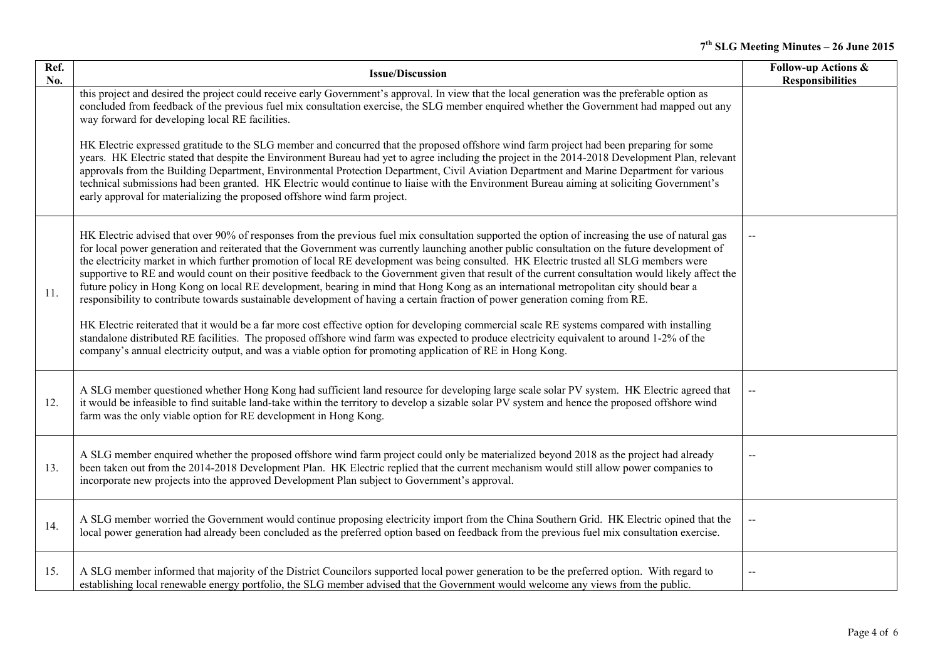| Ref.<br>No. | <b>Issue/Discussion</b>                                                                                                                                                                                                                                                                                                                                                                                                                                                                                                                                                                                                                                                                                                                                                                                                                                                                                                                                                                                                                                                                                                                                                                                                                                                                     | <b>Follow-up Actions &amp;</b><br><b>Responsibilities</b> |
|-------------|---------------------------------------------------------------------------------------------------------------------------------------------------------------------------------------------------------------------------------------------------------------------------------------------------------------------------------------------------------------------------------------------------------------------------------------------------------------------------------------------------------------------------------------------------------------------------------------------------------------------------------------------------------------------------------------------------------------------------------------------------------------------------------------------------------------------------------------------------------------------------------------------------------------------------------------------------------------------------------------------------------------------------------------------------------------------------------------------------------------------------------------------------------------------------------------------------------------------------------------------------------------------------------------------|-----------------------------------------------------------|
|             | this project and desired the project could receive early Government's approval. In view that the local generation was the preferable option as<br>concluded from feedback of the previous fuel mix consultation exercise, the SLG member enquired whether the Government had mapped out any<br>way forward for developing local RE facilities.                                                                                                                                                                                                                                                                                                                                                                                                                                                                                                                                                                                                                                                                                                                                                                                                                                                                                                                                              |                                                           |
|             | HK Electric expressed gratitude to the SLG member and concurred that the proposed offshore wind farm project had been preparing for some<br>years. HK Electric stated that despite the Environment Bureau had yet to agree including the project in the 2014-2018 Development Plan, relevant<br>approvals from the Building Department, Environmental Protection Department, Civil Aviation Department and Marine Department for various<br>technical submissions had been granted. HK Electric would continue to liaise with the Environment Bureau aiming at soliciting Government's<br>early approval for materializing the proposed offshore wind farm project.                                                                                                                                                                                                                                                                                                                                                                                                                                                                                                                                                                                                                         |                                                           |
| 11.         | HK Electric advised that over 90% of responses from the previous fuel mix consultation supported the option of increasing the use of natural gas<br>for local power generation and reiterated that the Government was currently launching another public consultation on the future development of<br>the electricity market in which further promotion of local RE development was being consulted. HK Electric trusted all SLG members were<br>supportive to RE and would count on their positive feedback to the Government given that result of the current consultation would likely affect the<br>future policy in Hong Kong on local RE development, bearing in mind that Hong Kong as an international metropolitan city should bear a<br>responsibility to contribute towards sustainable development of having a certain fraction of power generation coming from RE.<br>HK Electric reiterated that it would be a far more cost effective option for developing commercial scale RE systems compared with installing<br>standalone distributed RE facilities. The proposed offshore wind farm was expected to produce electricity equivalent to around 1-2% of the<br>company's annual electricity output, and was a viable option for promoting application of RE in Hong Kong. |                                                           |
| 12.         | A SLG member questioned whether Hong Kong had sufficient land resource for developing large scale solar PV system. HK Electric agreed that<br>it would be infeasible to find suitable land-take within the territory to develop a sizable solar PV system and hence the proposed offshore wind<br>farm was the only viable option for RE development in Hong Kong.                                                                                                                                                                                                                                                                                                                                                                                                                                                                                                                                                                                                                                                                                                                                                                                                                                                                                                                          | $\overline{\phantom{a}}$                                  |
| 13.         | A SLG member enquired whether the proposed offshore wind farm project could only be materialized beyond 2018 as the project had already<br>been taken out from the 2014-2018 Development Plan. HK Electric replied that the current mechanism would still allow power companies to<br>incorporate new projects into the approved Development Plan subject to Government's approval.                                                                                                                                                                                                                                                                                                                                                                                                                                                                                                                                                                                                                                                                                                                                                                                                                                                                                                         |                                                           |
| 14.         | A SLG member worried the Government would continue proposing electricity import from the China Southern Grid. HK Electric opined that the<br>local power generation had already been concluded as the preferred option based on feedback from the previous fuel mix consultation exercise.                                                                                                                                                                                                                                                                                                                                                                                                                                                                                                                                                                                                                                                                                                                                                                                                                                                                                                                                                                                                  | $-$                                                       |
| 15.         | A SLG member informed that majority of the District Councilors supported local power generation to be the preferred option. With regard to<br>establishing local renewable energy portfolio, the SLG member advised that the Government would welcome any views from the public.                                                                                                                                                                                                                                                                                                                                                                                                                                                                                                                                                                                                                                                                                                                                                                                                                                                                                                                                                                                                            |                                                           |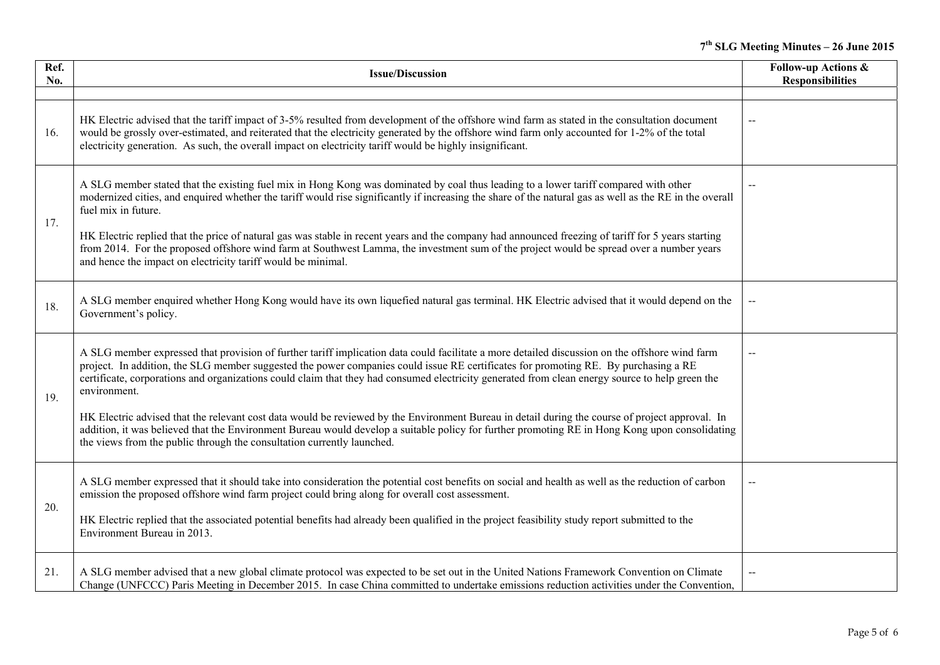| Ref.<br>No. | <b>Issue/Discussion</b>                                                                                                                                                                                                                                                                                                                                                                                                                                                      | <b>Follow-up Actions &amp;</b><br><b>Responsibilities</b> |
|-------------|------------------------------------------------------------------------------------------------------------------------------------------------------------------------------------------------------------------------------------------------------------------------------------------------------------------------------------------------------------------------------------------------------------------------------------------------------------------------------|-----------------------------------------------------------|
|             |                                                                                                                                                                                                                                                                                                                                                                                                                                                                              |                                                           |
| 16.         | HK Electric advised that the tariff impact of 3-5% resulted from development of the offshore wind farm as stated in the consultation document<br>would be grossly over-estimated, and reiterated that the electricity generated by the offshore wind farm only accounted for 1-2% of the total<br>electricity generation. As such, the overall impact on electricity tariff would be highly insignificant.                                                                   | $\overline{\phantom{m}}$                                  |
| 17.         | A SLG member stated that the existing fuel mix in Hong Kong was dominated by coal thus leading to a lower tariff compared with other<br>modernized cities, and enquired whether the tariff would rise significantly if increasing the share of the natural gas as well as the RE in the overall<br>fuel mix in future.<br>HK Electric replied that the price of natural gas was stable in recent years and the company had announced freezing of tariff for 5 years starting | $\overline{\phantom{a}}$                                  |
|             | from 2014. For the proposed offshore wind farm at Southwest Lamma, the investment sum of the project would be spread over a number years<br>and hence the impact on electricity tariff would be minimal.                                                                                                                                                                                                                                                                     |                                                           |
| 18.         | A SLG member enquired whether Hong Kong would have its own liquefied natural gas terminal. HK Electric advised that it would depend on the<br>Government's policy.                                                                                                                                                                                                                                                                                                           |                                                           |
| 19.         | A SLG member expressed that provision of further tariff implication data could facilitate a more detailed discussion on the offshore wind farm<br>project. In addition, the SLG member suggested the power companies could issue RE certificates for promoting RE. By purchasing a RE<br>certificate, corporations and organizations could claim that they had consumed electricity generated from clean energy source to help green the<br>environment.                     |                                                           |
|             | HK Electric advised that the relevant cost data would be reviewed by the Environment Bureau in detail during the course of project approval. In<br>addition, it was believed that the Environment Bureau would develop a suitable policy for further promoting RE in Hong Kong upon consolidating<br>the views from the public through the consultation currently launched.                                                                                                  |                                                           |
| 20.         | A SLG member expressed that it should take into consideration the potential cost benefits on social and health as well as the reduction of carbon<br>emission the proposed offshore wind farm project could bring along for overall cost assessment.                                                                                                                                                                                                                         | $\mathord{\hspace{1pt}\text{--}\hspace{1pt}}$             |
|             | HK Electric replied that the associated potential benefits had already been qualified in the project feasibility study report submitted to the<br>Environment Bureau in 2013.                                                                                                                                                                                                                                                                                                |                                                           |
| 21.         | A SLG member advised that a new global climate protocol was expected to be set out in the United Nations Framework Convention on Climate<br>Change (UNFCCC) Paris Meeting in December 2015. In case China committed to undertake emissions reduction activities under the Convention,                                                                                                                                                                                        |                                                           |